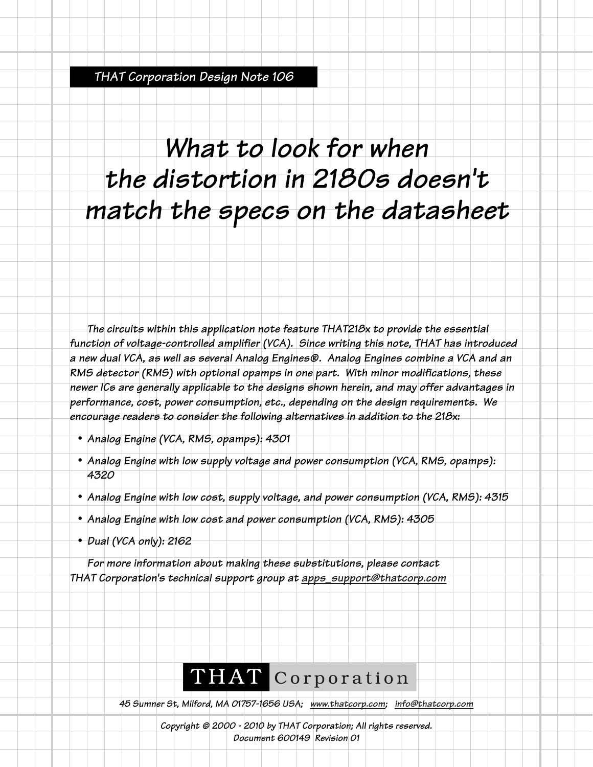*THAT Corporation Design Note 106*

## *What to look for when the distortion in 2180s doesn't match the specs on the datasheet*

*The circuits within this application note feature THAT218x to provide the essential function of voltage-controlled amplifier (VCA). Since writing this note, THAT has introduced a new dual VCA, as well as several Analog Engines®. Analog Engines combine a VCA and an RMS detector (RMS) with optional opamps in one part. With minor modifications, these newer ICs are generally applicable to the designs shown herein, and may offer advantages in performance, cost, power consumption, etc., depending on the design requirements. We encourage readers to consider the following alternatives in addition to the 218x:*

- *• Analog Engine (VCA, RMS, opamps): 4301*
- *• Analog Engine with low supply voltage and power consumption (VCA, RMS, opamps): 4320*
- *• Analog Engine with low cost, supply voltage, and power consumption (VCA, RMS): 4315*
- *• Analog Engine with low cost and power consumption (VCA, RMS): 4305*
- *• Dual (VCA only): 2162*

*For more information about making these substitutions, please contact THAT Corporation's technical support group at apps\_support@thatcorp.com*

## THAT Corporation

*45 Sumner St, Milford, MA 01757-1656 USA; www.thatcorp.com; info@thatcorp.com*

*Copyright © 2000 - 2010 by THAT Corporation; All rights reserved. Document 600149 Revision 01*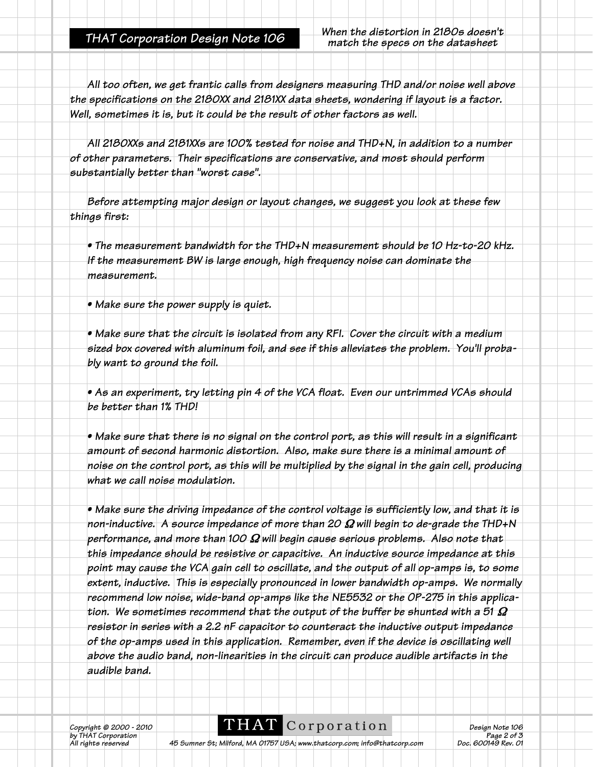*All too often, we get frantic calls from designers measuring THD and/or noise well above the specifications on the 2180XX and 2181XX data sheets, wondering if layout is a factor. Well, sometimes it is, but it could be the result of other factors as well.* 

*All 2180XXs and 2181XXs are 100% tested for noise and THD+N, in addition to a number of other parameters. Their specifications are conservative, and most should perform substantially better than "worst case".*

*Before attempting major design or layout changes, we suggest you look at these few things first:*

*• The measurement bandwidth for the THD+N measurement should be 10 Hz-to-20 kHz. If the measurement BW is large enough, high frequency noise can dominate the measurement.*

*• Make sure the power supply is quiet.*

*• Make sure that the circuit is isolated from any RFI. Cover the circuit with a medium sized box covered with aluminum foil, and see if this alleviates the problem. You'll probably want to ground the foil.*

*• As an experiment, try letting pin 4 of the VCA float. Even our untrimmed VCAs should be better than 1% THD!*

*• Make sure that there is no signal on the control port, as this will result in a significant amount of second harmonic distortion. Also, make sure there is a minimal amount of noise on the control port, as this will be multiplied by the signal in the gain cell, producing what we call noise modulation.* 

*• Make sure the driving impedance of the control voltage is sufficiently low, and that it is non-inductive. A source impedance of more than 20* Ω *will begin to de-grade the THD+N performance, and more than 100* Ω *will begin cause serious problems. Also note that this impedance should be resistive or capacitive. An inductive source impedance at this point may cause the VCA gain cell to oscillate, and the output of all op-amps is, to some extent, inductive. This is especially pronounced in lower bandwidth op-amps. We normally recommend low noise, wide-band op-amps like the NE5532 or the OP-275 in this application. We sometimes recommend that the output of the buffer be shunted with a 51* Ω *resistor in series with a 2.2 nF capacitor to counteract the inductive output impedance of the op-amps used in this application. Remember, even if the device is oscillating well above the audio band, non-linearities in the circuit can produce audible artifacts in the audible band.*

*b*y THAT © 2000 - 2010<br>by THAT Corporation<br>All rights reserved

**COPPOFATION**<br>*Page 2 of 3*<br>*Page 2 of 3*<br>*Page 2 of 3*<br>*Doc. 600149 Rev. 01* 

*Ab Sumner St; Milford, MA 01757 USA; www.thatcorp.com; info@thatcorp.com*